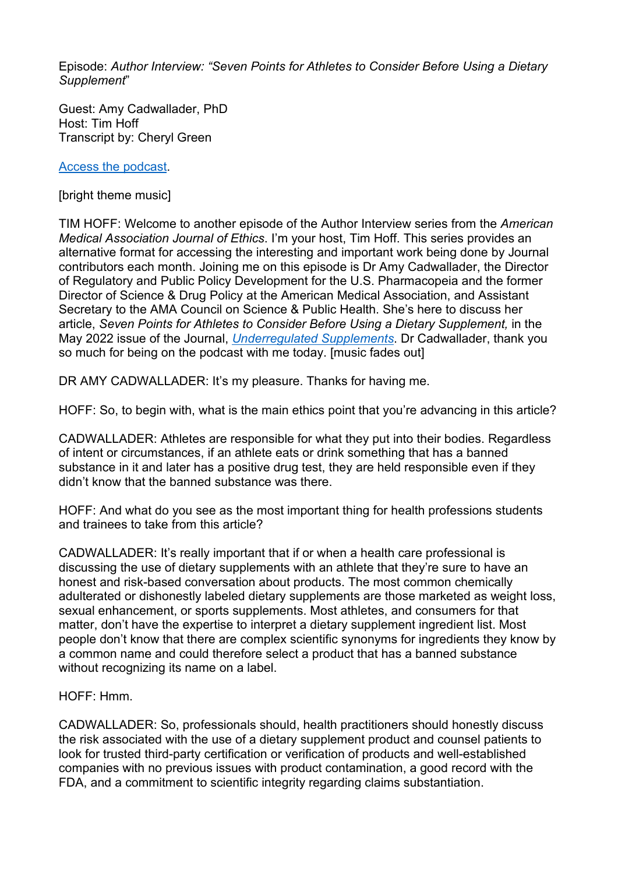Episode: *Author Interview: "Seven Points for Athletes to Consider Before Using a Dietary Supplement*"

Guest: Amy Cadwallader, PhD Host: Tim Hoff Transcript by: Cheryl Green

[Access the podcast.](https://journalofethics.ama-assn.org/podcast/author-interview-seven-points-athletes-consider-using-dietary-supplement)

[bright theme music]

TIM HOFF: Welcome to another episode of the Author Interview series from the *American Medical Association Journal of Ethics*. I'm your host, Tim Hoff. This series provides an alternative format for accessing the interesting and important work being done by Journal contributors each month. Joining me on this episode is Dr Amy Cadwallader, the Director of Regulatory and Public Policy Development for the U.S. Pharmacopeia and the former Director of Science & Drug Policy at the American Medical Association, and Assistant Secretary to the AMA Council on Science & Public Health. She's here to discuss her article, *Seven Points for Athletes to Consider Before Using a Dietary Supplement,* in the May 2022 issue of the Journal, *[Underregulated Supplements](https://journalofethics.ama-assn.org/issue/unregulated-supplements)*. Dr Cadwallader, thank you so much for being on the podcast with me today. [music fades out]

DR AMY CADWALLADER: It's my pleasure. Thanks for having me.

HOFF: So, to begin with, what is the main ethics point that you're advancing in this article?

CADWALLADER: Athletes are responsible for what they put into their bodies. Regardless of intent or circumstances, if an athlete eats or drink something that has a banned substance in it and later has a positive drug test, they are held responsible even if they didn't know that the banned substance was there.

HOFF: And what do you see as the most important thing for health professions students and trainees to take from this article?

CADWALLADER: It's really important that if or when a health care professional is discussing the use of dietary supplements with an athlete that they're sure to have an honest and risk-based conversation about products. The most common chemically adulterated or dishonestly labeled dietary supplements are those marketed as weight loss, sexual enhancement, or sports supplements. Most athletes, and consumers for that matter, don't have the expertise to interpret a dietary supplement ingredient list. Most people don't know that there are complex scientific synonyms for ingredients they know by a common name and could therefore select a product that has a banned substance without recognizing its name on a label.

HOFF: Hmm.

CADWALLADER: So, professionals should, health practitioners should honestly discuss the risk associated with the use of a dietary supplement product and counsel patients to look for trusted third-party certification or verification of products and well-established companies with no previous issues with product contamination, a good record with the FDA, and a commitment to scientific integrity regarding claims substantiation.